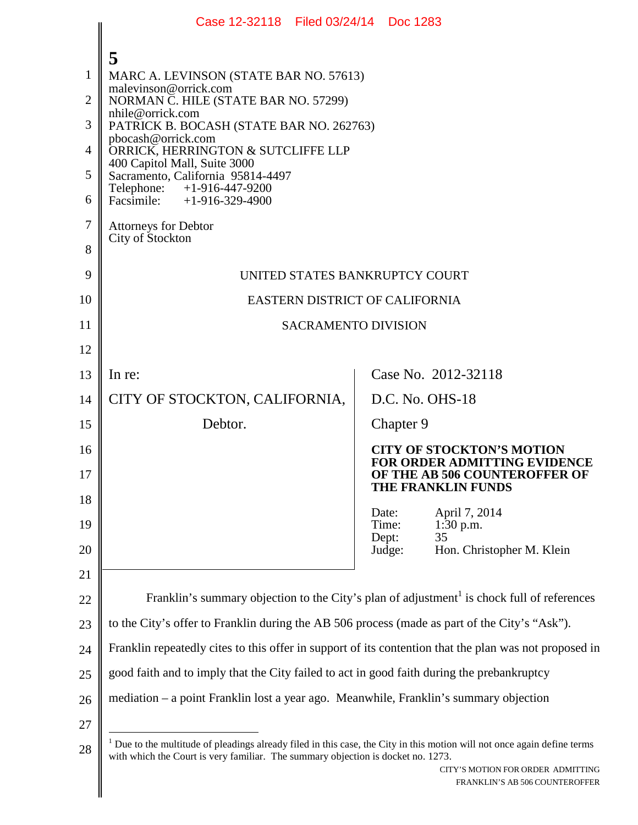|    | Case 12-32118 Filed 03/24/14 Doc 1283                                                                                                                                                                      |                                                                         |  |  |  |  |
|----|------------------------------------------------------------------------------------------------------------------------------------------------------------------------------------------------------------|-------------------------------------------------------------------------|--|--|--|--|
|    | 5                                                                                                                                                                                                          |                                                                         |  |  |  |  |
| 1  | MARC A. LEVINSON (STATE BAR NO. 57613)                                                                                                                                                                     |                                                                         |  |  |  |  |
| 2  | malevinson@orrick.com<br>NORMAN C. HILE (STATE BAR NO. 57299)                                                                                                                                              |                                                                         |  |  |  |  |
| 3  | nhile@orrick.com<br>PATRICK B. BOCASH (STATE BAR NO. 262763)                                                                                                                                               |                                                                         |  |  |  |  |
| 4  | pbocash@orrick.com<br>ORRICK, HERRINGTON & SUTCLIFFE LLP                                                                                                                                                   |                                                                         |  |  |  |  |
| 5  | 400 Capitol Mall, Suite 3000<br>Sacramento, California 95814-4497                                                                                                                                          |                                                                         |  |  |  |  |
| 6  | Telephone: +1-916-447-9200<br>Facsimile: +1-916-329-4900                                                                                                                                                   |                                                                         |  |  |  |  |
| 7  | <b>Attorneys for Debtor</b>                                                                                                                                                                                |                                                                         |  |  |  |  |
| 8  | City of Stockton                                                                                                                                                                                           |                                                                         |  |  |  |  |
| 9  | UNITED STATES BANKRUPTCY COURT                                                                                                                                                                             |                                                                         |  |  |  |  |
| 10 | EASTERN DISTRICT OF CALIFORNIA                                                                                                                                                                             |                                                                         |  |  |  |  |
| 11 | <b>SACRAMENTO DIVISION</b>                                                                                                                                                                                 |                                                                         |  |  |  |  |
| 12 |                                                                                                                                                                                                            |                                                                         |  |  |  |  |
| 13 | In re:                                                                                                                                                                                                     | Case No. 2012-32118                                                     |  |  |  |  |
| 14 | CITY OF STOCKTON, CALIFORNIA,                                                                                                                                                                              | D.C. No. OHS-18                                                         |  |  |  |  |
| 15 | Debtor.                                                                                                                                                                                                    | Chapter 9                                                               |  |  |  |  |
| 16 |                                                                                                                                                                                                            | <b>CITY OF STOCKTON'S MOTION</b><br><b>FOR ORDER ADMITTING EVIDENCE</b> |  |  |  |  |
| 17 |                                                                                                                                                                                                            | OF THE AB 506 COUNTEROFFER OF<br>THE FRANKLIN FUNDS                     |  |  |  |  |
| 18 |                                                                                                                                                                                                            | April 7, 2014<br>Date:                                                  |  |  |  |  |
| 19 |                                                                                                                                                                                                            | Time:<br>$1:30$ p.m.<br>Dept:<br>35                                     |  |  |  |  |
| 20 |                                                                                                                                                                                                            | Hon. Christopher M. Klein<br>Judge:                                     |  |  |  |  |
| 21 |                                                                                                                                                                                                            |                                                                         |  |  |  |  |
| 22 | Franklin's summary objection to the City's plan of adjustment <sup>1</sup> is chock full of references                                                                                                     |                                                                         |  |  |  |  |
| 23 | to the City's offer to Franklin during the AB 506 process (made as part of the City's "Ask").                                                                                                              |                                                                         |  |  |  |  |
| 24 | Franklin repeatedly cites to this offer in support of its contention that the plan was not proposed in                                                                                                     |                                                                         |  |  |  |  |
| 25 | good faith and to imply that the City failed to act in good faith during the prebankruptcy                                                                                                                 |                                                                         |  |  |  |  |
| 26 | mediation – a point Franklin lost a year ago. Meanwhile, Franklin's summary objection                                                                                                                      |                                                                         |  |  |  |  |
| 27 |                                                                                                                                                                                                            |                                                                         |  |  |  |  |
| 28 | Due to the multitude of pleadings already filed in this case, the City in this motion will not once again define terms<br>with which the Court is very familiar. The summary objection is docket no. 1273. |                                                                         |  |  |  |  |
|    |                                                                                                                                                                                                            | CITY'S MOTION FOR ORDER ADMITTING<br>FRANKLIN'S AB 506 COUNTEROFFER     |  |  |  |  |
|    |                                                                                                                                                                                                            |                                                                         |  |  |  |  |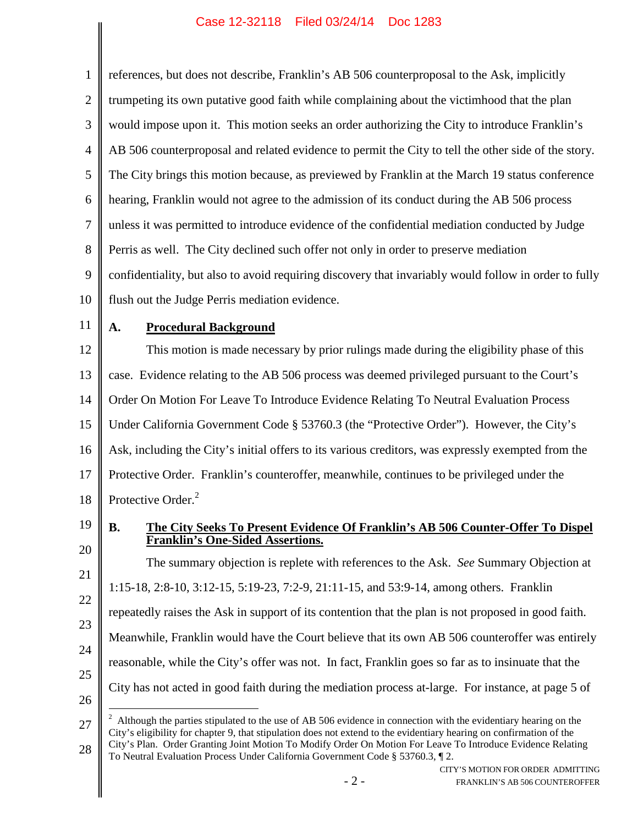| 1              | references, but does not describe, Franklin's AB 506 counterproposal to the Ask, implicitly                                                                                                                                                                                                                                                                                                                                             |  |  |  |  |
|----------------|-----------------------------------------------------------------------------------------------------------------------------------------------------------------------------------------------------------------------------------------------------------------------------------------------------------------------------------------------------------------------------------------------------------------------------------------|--|--|--|--|
| $\overline{2}$ | trumpeting its own putative good faith while complaining about the victimhood that the plan                                                                                                                                                                                                                                                                                                                                             |  |  |  |  |
| 3              | would impose upon it. This motion seeks an order authorizing the City to introduce Franklin's                                                                                                                                                                                                                                                                                                                                           |  |  |  |  |
| $\overline{4}$ | AB 506 counterproposal and related evidence to permit the City to tell the other side of the story.                                                                                                                                                                                                                                                                                                                                     |  |  |  |  |
| 5              | The City brings this motion because, as previewed by Franklin at the March 19 status conference                                                                                                                                                                                                                                                                                                                                         |  |  |  |  |
| 6              | hearing, Franklin would not agree to the admission of its conduct during the AB 506 process                                                                                                                                                                                                                                                                                                                                             |  |  |  |  |
| 7              | unless it was permitted to introduce evidence of the confidential mediation conducted by Judge                                                                                                                                                                                                                                                                                                                                          |  |  |  |  |
| 8              | Perris as well. The City declined such offer not only in order to preserve mediation                                                                                                                                                                                                                                                                                                                                                    |  |  |  |  |
| 9              | confidentiality, but also to avoid requiring discovery that invariably would follow in order to fully                                                                                                                                                                                                                                                                                                                                   |  |  |  |  |
| 10             | flush out the Judge Perris mediation evidence.                                                                                                                                                                                                                                                                                                                                                                                          |  |  |  |  |
| 11             | <b>Procedural Background</b><br>A.                                                                                                                                                                                                                                                                                                                                                                                                      |  |  |  |  |
| 12             | This motion is made necessary by prior rulings made during the eligibility phase of this                                                                                                                                                                                                                                                                                                                                                |  |  |  |  |
| 13             | case. Evidence relating to the AB 506 process was deemed privileged pursuant to the Court's                                                                                                                                                                                                                                                                                                                                             |  |  |  |  |
| 14             | Order On Motion For Leave To Introduce Evidence Relating To Neutral Evaluation Process                                                                                                                                                                                                                                                                                                                                                  |  |  |  |  |
| 15             | Under California Government Code § 53760.3 (the "Protective Order"). However, the City's                                                                                                                                                                                                                                                                                                                                                |  |  |  |  |
| 16             | Ask, including the City's initial offers to its various creditors, was expressly exempted from the                                                                                                                                                                                                                                                                                                                                      |  |  |  |  |
| 17             | Protective Order. Franklin's counteroffer, meanwhile, continues to be privileged under the                                                                                                                                                                                                                                                                                                                                              |  |  |  |  |
| 18             | Protective Order. <sup>2</sup>                                                                                                                                                                                                                                                                                                                                                                                                          |  |  |  |  |
| 19             | The City Seeks To Present Evidence Of Franklin's AB 506 Counter-Offer To Dispel<br><b>B.</b><br><b>Franklin's One-Sided Assertions.</b>                                                                                                                                                                                                                                                                                                 |  |  |  |  |
| 20             | The summary objection is replete with references to the Ask. See Summary Objection at                                                                                                                                                                                                                                                                                                                                                   |  |  |  |  |
| 21             | 1:15-18, 2:8-10, 3:12-15, 5:19-23, 7:2-9, 21:11-15, and 53:9-14, among others. Franklin                                                                                                                                                                                                                                                                                                                                                 |  |  |  |  |
| 22             | repeatedly raises the Ask in support of its contention that the plan is not proposed in good faith.                                                                                                                                                                                                                                                                                                                                     |  |  |  |  |
| 23             | Meanwhile, Franklin would have the Court believe that its own AB 506 counteroffer was entirely                                                                                                                                                                                                                                                                                                                                          |  |  |  |  |
| 24             | reasonable, while the City's offer was not. In fact, Franklin goes so far as to insinuate that the                                                                                                                                                                                                                                                                                                                                      |  |  |  |  |
| 25<br>26       | City has not acted in good faith during the mediation process at-large. For instance, at page 5 of                                                                                                                                                                                                                                                                                                                                      |  |  |  |  |
| 27<br>28       | Although the parties stipulated to the use of AB 506 evidence in connection with the evidentiary hearing on the<br>City's eligibility for chapter 9, that stipulation does not extend to the evidentiary hearing on confirmation of the<br>City's Plan. Order Granting Joint Motion To Modify Order On Motion For Leave To Introduce Evidence Relating<br>To Neutral Evaluation Process Under California Government Code § 53760.3, 12. |  |  |  |  |
|                | CITY'S MOTION FOR ORDER ADMITTING<br>$-2-$<br>FRANKLIN'S AB 506 COUNTEROFFER                                                                                                                                                                                                                                                                                                                                                            |  |  |  |  |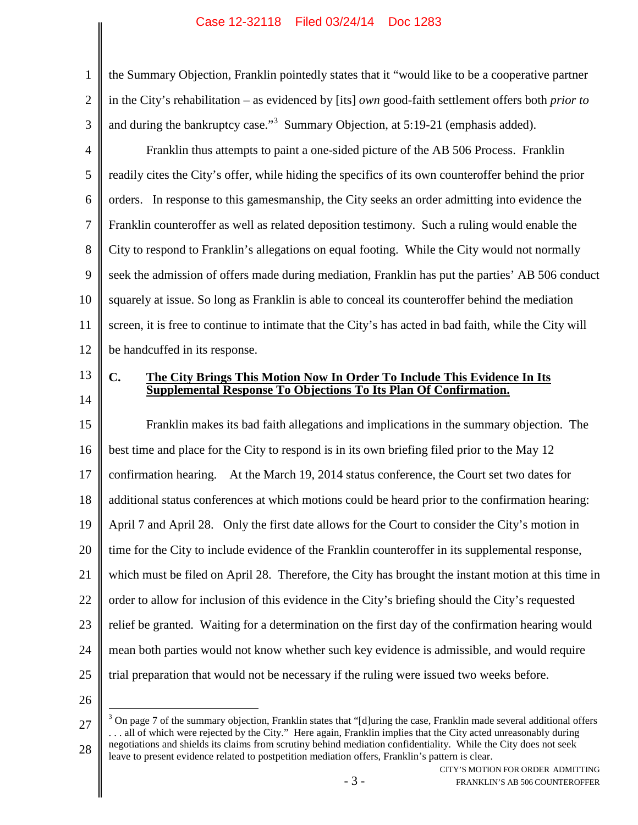## Case 12-32118 Filed 03/24/14 Doc 1283

3 the Summary Objection, Franklin pointedly states that it "would like to be a cooperative partner in the City's rehabilitation – as evidenced by [its] *own* good-faith settlement offers both *prior to* and during the bankruptcy case."<sup>3</sup> Summary Objection, at 5:19-21 (emphasis added).

4 5 6 7 8 9 10 11 12 Franklin thus attempts to paint a one-sided picture of the AB 506 Process. Franklin readily cites the City's offer, while hiding the specifics of its own counteroffer behind the prior orders. In response to this gamesmanship, the City seeks an order admitting into evidence the Franklin counteroffer as well as related deposition testimony. Such a ruling would enable the City to respond to Franklin's allegations on equal footing. While the City would not normally seek the admission of offers made during mediation, Franklin has put the parties' AB 506 conduct squarely at issue. So long as Franklin is able to conceal its counteroffer behind the mediation screen, it is free to continue to intimate that the City's has acted in bad faith, while the City will be handcuffed in its response.

13 14

1

2

## **C. The City Brings This Motion Now In Order To Include This Evidence In Its Supplemental Response To Objections To Its Plan Of Confirmation.**

15 16 17 18 19 20 21 22 23 24 25 Franklin makes its bad faith allegations and implications in the summary objection. The best time and place for the City to respond is in its own briefing filed prior to the May 12 confirmation hearing. At the March 19, 2014 status conference, the Court set two dates for additional status conferences at which motions could be heard prior to the confirmation hearing: April 7 and April 28. Only the first date allows for the Court to consider the City's motion in time for the City to include evidence of the Franklin counteroffer in its supplemental response, which must be filed on April 28. Therefore, the City has brought the instant motion at this time in order to allow for inclusion of this evidence in the City's briefing should the City's requested relief be granted. Waiting for a determination on the first day of the confirmation hearing would mean both parties would not know whether such key evidence is admissible, and would require trial preparation that would not be necessary if the ruling were issued two weeks before.

26

<sup>27</sup> 28  $3$  On page 7 of the summary objection, Franklin states that "[d]uring the case, Franklin made several additional offers . . . all of which were rejected by the City." Here again, Franklin implies that the City acted unreasonably during negotiations and shields its claims from scrutiny behind mediation confidentiality. While the City does not seek leave to present evidence related to postpetition mediation offers, Franklin's pattern is clear.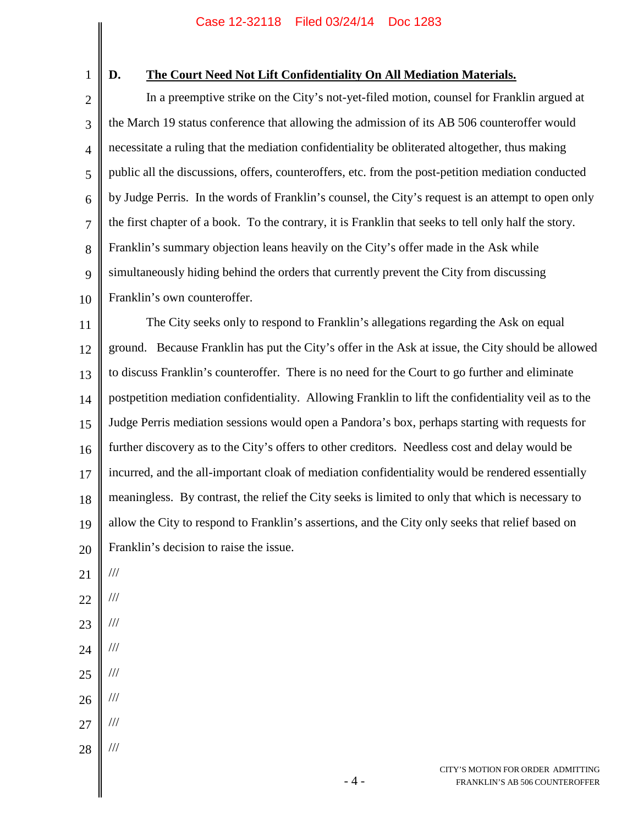1

## **D. The Court Need Not Lift Confidentiality On All Mediation Materials.**

2 3 4 5 6 7 8 9 10 In a preemptive strike on the City's not-yet-filed motion, counsel for Franklin argued at the March 19 status conference that allowing the admission of its AB 506 counteroffer would necessitate a ruling that the mediation confidentiality be obliterated altogether, thus making public all the discussions, offers, counteroffers, etc. from the post-petition mediation conducted by Judge Perris. In the words of Franklin's counsel, the City's request is an attempt to open only the first chapter of a book. To the contrary, it is Franklin that seeks to tell only half the story. Franklin's summary objection leans heavily on the City's offer made in the Ask while simultaneously hiding behind the orders that currently prevent the City from discussing Franklin's own counteroffer.

11 12 13 14 15 16 17 18 19 20 The City seeks only to respond to Franklin's allegations regarding the Ask on equal ground. Because Franklin has put the City's offer in the Ask at issue, the City should be allowed to discuss Franklin's counteroffer. There is no need for the Court to go further and eliminate postpetition mediation confidentiality. Allowing Franklin to lift the confidentiality veil as to the Judge Perris mediation sessions would open a Pandora's box, perhaps starting with requests for further discovery as to the City's offers to other creditors. Needless cost and delay would be incurred, and the all-important cloak of mediation confidentiality would be rendered essentially meaningless. By contrast, the relief the City seeks is limited to only that which is necessary to allow the City to respond to Franklin's assertions, and the City only seeks that relief based on Franklin's decision to raise the issue.

21 ///

- 22
- 23 ///

///

- 24 ///
- 
- 25 ///
- 26 ///
- 27 ///
- 28 ///